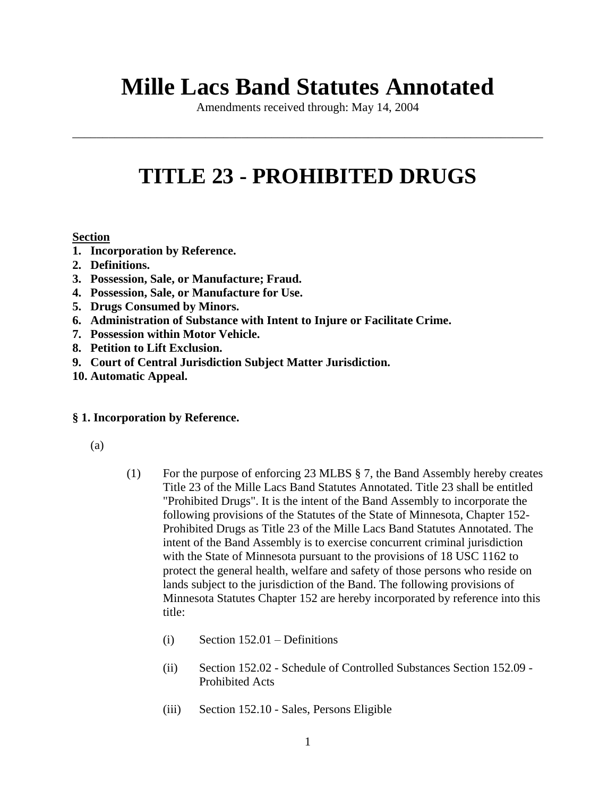# **Mille Lacs Band Statutes Annotated**

Amendments received through: May 14, 2004

\_\_\_\_\_\_\_\_\_\_\_\_\_\_\_\_\_\_\_\_\_\_\_\_\_\_\_\_\_\_\_\_\_\_\_\_\_\_\_\_\_\_\_\_\_\_\_\_\_\_\_\_\_\_\_\_\_\_\_\_\_\_\_\_\_\_\_\_\_\_\_\_\_\_\_\_\_\_

# **TITLE 23 - PROHIBITED DRUGS**

# **Section**

- **1. Incorporation by Reference.**
- **2. Definitions.**
- **3. Possession, Sale, or Manufacture; Fraud.**
- **4. Possession, Sale, or Manufacture for Use.**
- **5. Drugs Consumed by Minors.**
- **6. Administration of Substance with Intent to Injure or Facilitate Crime.**
- **7. Possession within Motor Vehicle.**
- **8. Petition to Lift Exclusion.**
- **9. Court of Central Jurisdiction Subject Matter Jurisdiction.**
- **10. Automatic Appeal.**

# **§ 1. Incorporation by Reference.**

(a)

- (1) For the purpose of enforcing 23 MLBS § 7, the Band Assembly hereby creates Title 23 of the Mille Lacs Band Statutes Annotated. Title 23 shall be entitled "Prohibited Drugs". It is the intent of the Band Assembly to incorporate the following provisions of the Statutes of the State of Minnesota, Chapter 152- Prohibited Drugs as Title 23 of the Mille Lacs Band Statutes Annotated. The intent of the Band Assembly is to exercise concurrent criminal jurisdiction with the State of Minnesota pursuant to the provisions of 18 USC 1162 to protect the general health, welfare and safety of those persons who reside on lands subject to the jurisdiction of the Band. The following provisions of Minnesota Statutes Chapter 152 are hereby incorporated by reference into this title:
	- (i) Section 152.01 Definitions
	- (ii) Section 152.02 Schedule of Controlled Substances Section 152.09 Prohibited Acts
	- (iii) Section 152.10 Sales, Persons Eligible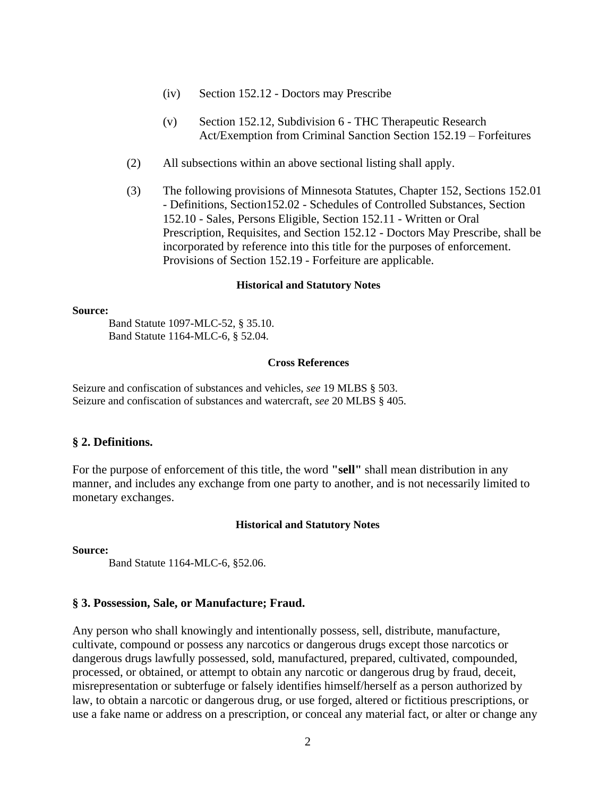- (iv) Section 152.12 Doctors may Prescribe
- (v) Section 152.12, Subdivision 6 THC Therapeutic Research Act/Exemption from Criminal Sanction Section 152.19 – Forfeitures
- (2) All subsections within an above sectional listing shall apply.
- (3) The following provisions of Minnesota Statutes, Chapter 152, Sections 152.01 - Definitions, Section152.02 - Schedules of Controlled Substances, Section 152.10 - Sales, Persons Eligible, Section 152.11 - Written or Oral Prescription, Requisites, and Section 152.12 - Doctors May Prescribe, shall be incorporated by reference into this title for the purposes of enforcement. Provisions of Section 152.19 - Forfeiture are applicable.

#### **Historical and Statutory Notes**

#### **Source:**

Band Statute 1097-MLC-52, § 35.10. Band Statute 1164-MLC-6, § 52.04.

# **Cross References**

Seizure and confiscation of substances and vehicles, *see* 19 MLBS § 503. Seizure and confiscation of substances and watercraft, *see* 20 MLBS § 405.

## **§ 2. Definitions.**

For the purpose of enforcement of this title, the word **"sell"** shall mean distribution in any manner, and includes any exchange from one party to another, and is not necessarily limited to monetary exchanges.

#### **Historical and Statutory Notes**

**Source:** 

Band Statute 1164-MLC-6, §52.06.

## **§ 3. Possession, Sale, or Manufacture; Fraud.**

Any person who shall knowingly and intentionally possess, sell, distribute, manufacture, cultivate, compound or possess any narcotics or dangerous drugs except those narcotics or dangerous drugs lawfully possessed, sold, manufactured, prepared, cultivated, compounded, processed, or obtained, or attempt to obtain any narcotic or dangerous drug by fraud, deceit, misrepresentation or subterfuge or falsely identifies himself/herself as a person authorized by law, to obtain a narcotic or dangerous drug, or use forged, altered or fictitious prescriptions, or use a fake name or address on a prescription, or conceal any material fact, or alter or change any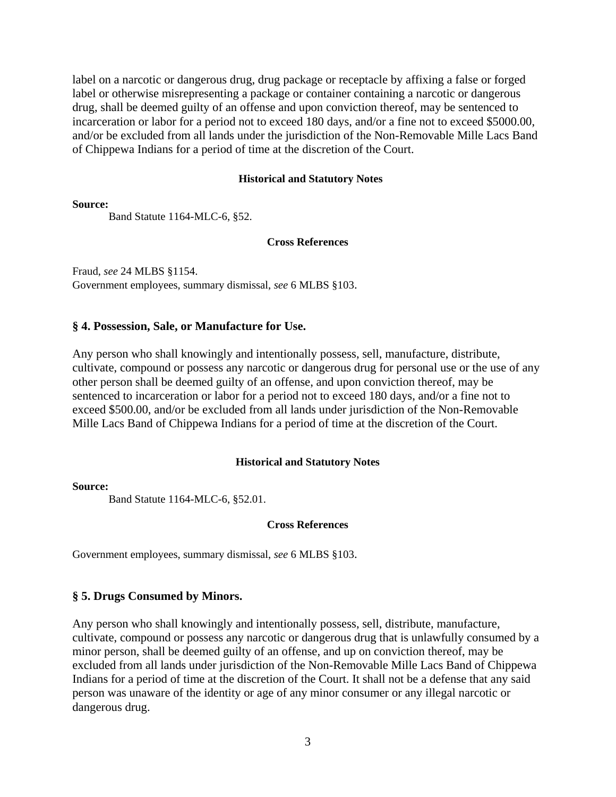label on a narcotic or dangerous drug, drug package or receptacle by affixing a false or forged label or otherwise misrepresenting a package or container containing a narcotic or dangerous drug, shall be deemed guilty of an offense and upon conviction thereof, may be sentenced to incarceration or labor for a period not to exceed 180 days, and/or a fine not to exceed \$5000.00, and/or be excluded from all lands under the jurisdiction of the Non-Removable Mille Lacs Band of Chippewa Indians for a period of time at the discretion of the Court.

#### **Historical and Statutory Notes**

**Source:** 

Band Statute 1164-MLC-6, §52.

#### **Cross References**

Fraud, *see* 24 MLBS §1154. Government employees, summary dismissal, *see* 6 MLBS §103.

#### **§ 4. Possession, Sale, or Manufacture for Use.**

Any person who shall knowingly and intentionally possess, sell, manufacture, distribute, cultivate, compound or possess any narcotic or dangerous drug for personal use or the use of any other person shall be deemed guilty of an offense, and upon conviction thereof, may be sentenced to incarceration or labor for a period not to exceed 180 days, and/or a fine not to exceed \$500.00, and/or be excluded from all lands under jurisdiction of the Non-Removable Mille Lacs Band of Chippewa Indians for a period of time at the discretion of the Court.

#### **Historical and Statutory Notes**

#### **Source:**

Band Statute 1164-MLC-6, §52.01.

#### **Cross References**

Government employees, summary dismissal, *see* 6 MLBS §103.

# **§ 5. Drugs Consumed by Minors.**

Any person who shall knowingly and intentionally possess, sell, distribute, manufacture, cultivate, compound or possess any narcotic or dangerous drug that is unlawfully consumed by a minor person, shall be deemed guilty of an offense, and up on conviction thereof, may be excluded from all lands under jurisdiction of the Non-Removable Mille Lacs Band of Chippewa Indians for a period of time at the discretion of the Court. It shall not be a defense that any said person was unaware of the identity or age of any minor consumer or any illegal narcotic or dangerous drug.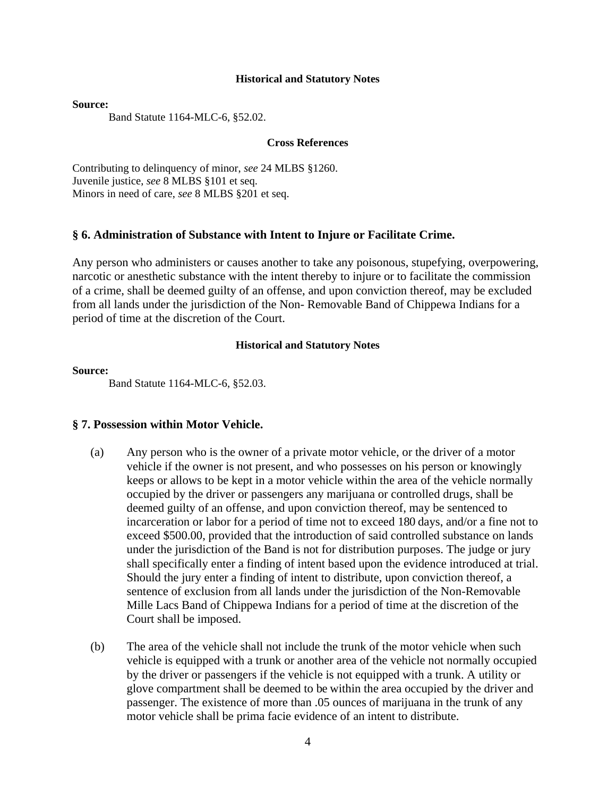#### **Historical and Statutory Notes**

**Source:** 

Band Statute 1164-MLC-6, §52.02.

#### **Cross References**

Contributing to delinquency of minor, *see* 24 MLBS §1260. Juvenile justice, *see* 8 MLBS §101 et seq. Minors in need of care, *see* 8 MLBS §201 et seq.

# **§ 6. Administration of Substance with Intent to Injure or Facilitate Crime.**

Any person who administers or causes another to take any poisonous, stupefying, overpowering, narcotic or anesthetic substance with the intent thereby to injure or to facilitate the commission of a crime, shall be deemed guilty of an offense, and upon conviction thereof, may be excluded from all lands under the jurisdiction of the Non- Removable Band of Chippewa Indians for a period of time at the discretion of the Court.

#### **Historical and Statutory Notes**

#### **Source:**

Band Statute 1164-MLC-6, §52.03.

#### **§ 7. Possession within Motor Vehicle.**

- (a) Any person who is the owner of a private motor vehicle, or the driver of a motor vehicle if the owner is not present, and who possesses on his person or knowingly keeps or allows to be kept in a motor vehicle within the area of the vehicle normally occupied by the driver or passengers any marijuana or controlled drugs, shall be deemed guilty of an offense, and upon conviction thereof, may be sentenced to incarceration or labor for a period of time not to exceed 180 days, and/or a fine not to exceed \$500.00, provided that the introduction of said controlled substance on lands under the jurisdiction of the Band is not for distribution purposes. The judge or jury shall specifically enter a finding of intent based upon the evidence introduced at trial. Should the jury enter a finding of intent to distribute, upon conviction thereof, a sentence of exclusion from all lands under the jurisdiction of the Non-Removable Mille Lacs Band of Chippewa Indians for a period of time at the discretion of the Court shall be imposed.
- (b) The area of the vehicle shall not include the trunk of the motor vehicle when such vehicle is equipped with a trunk or another area of the vehicle not normally occupied by the driver or passengers if the vehicle is not equipped with a trunk. A utility or glove compartment shall be deemed to be within the area occupied by the driver and passenger. The existence of more than .05 ounces of marijuana in the trunk of any motor vehicle shall be prima facie evidence of an intent to distribute.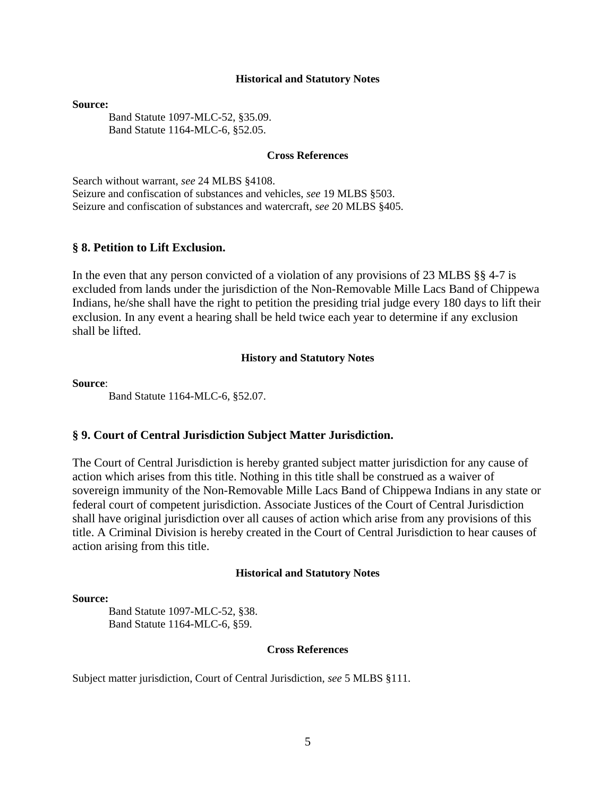#### **Historical and Statutory Notes**

**Source:** 

Band Statute 1097-MLC-52, §35.09. Band Statute 1164-MLC-6, §52.05.

# **Cross References**

Search without warrant, *see* 24 MLBS §4108. Seizure and confiscation of substances and vehicles, *see* 19 MLBS §503. Seizure and confiscation of substances and watercraft, *see* 20 MLBS §405.

#### **§ 8. Petition to Lift Exclusion.**

In the even that any person convicted of a violation of any provisions of 23 MLBS §§ 4-7 is excluded from lands under the jurisdiction of the Non-Removable Mille Lacs Band of Chippewa Indians, he/she shall have the right to petition the presiding trial judge every 180 days to lift their exclusion. In any event a hearing shall be held twice each year to determine if any exclusion shall be lifted.

#### **History and Statutory Notes**

**Source**:

Band Statute 1164-MLC-6, §52.07.

#### **§ 9. Court of Central Jurisdiction Subject Matter Jurisdiction.**

The Court of Central Jurisdiction is hereby granted subject matter jurisdiction for any cause of action which arises from this title. Nothing in this title shall be construed as a waiver of sovereign immunity of the Non-Removable Mille Lacs Band of Chippewa Indians in any state or federal court of competent jurisdiction. Associate Justices of the Court of Central Jurisdiction shall have original jurisdiction over all causes of action which arise from any provisions of this title. A Criminal Division is hereby created in the Court of Central Jurisdiction to hear causes of action arising from this title.

#### **Historical and Statutory Notes**

#### **Source:**

Band Statute 1097-MLC-52, §38. Band Statute 1164-MLC-6, §59.

#### **Cross References**

Subject matter jurisdiction, Court of Central Jurisdiction, *see* 5 MLBS §111.